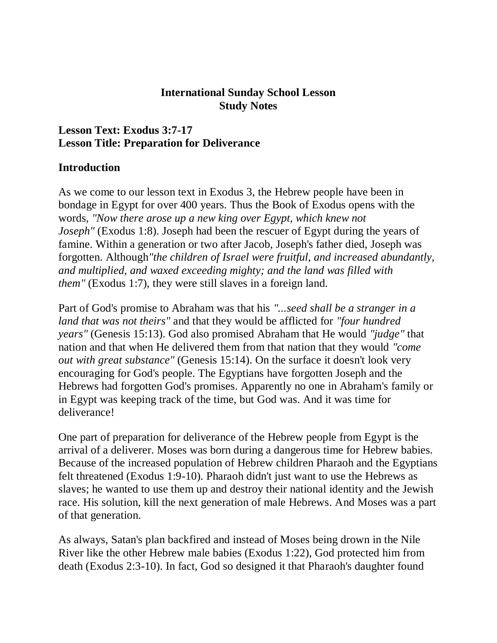### **International Sunday School Lesson Study Notes**

### **Lesson Text: Exodus 3:7-17 Lesson Title: Preparation for Deliverance**

### **Introduction**

As we come to our lesson text in Exodus 3, the Hebrew people have been in bondage in Egypt for over 400 years. Thus the Book of Exodus opens with the words, *"Now there arose up a new king over Egypt, which knew not Joseph"* (Exodus 1:8). Joseph had been the rescuer of Egypt during the years of famine. Within a generation or two after Jacob, Joseph's father died, Joseph was forgotten. Although*"the children of Israel were fruitful, and increased abundantly, and multiplied, and waxed exceeding mighty; and the land was filled with them"* (Exodus 1:7), they were still slaves in a foreign land.

Part of God's promise to Abraham was that his *"...seed shall be a stranger in a land that was not theirs"* and that they would be afflicted for *"four hundred years"* (Genesis 15:13). God also promised Abraham that He would *"judge"* that nation and that when He delivered them from that nation that they would *"come out with great substance"* (Genesis 15:14). On the surface it doesn't look very encouraging for God's people. The Egyptians have forgotten Joseph and the Hebrews had forgotten God's promises. Apparently no one in Abraham's family or in Egypt was keeping track of the time, but God was. And it was time for deliverance!

One part of preparation for deliverance of the Hebrew people from Egypt is the arrival of a deliverer. Moses was born during a dangerous time for Hebrew babies. Because of the increased population of Hebrew children Pharaoh and the Egyptians felt threatened (Exodus 1:9-10). Pharaoh didn't just want to use the Hebrews as slaves; he wanted to use them up and destroy their national identity and the Jewish race. His solution, kill the next generation of male Hebrews. And Moses was a part of that generation.

As always, Satan's plan backfired and instead of Moses being drown in the Nile River like the other Hebrew male babies (Exodus 1:22), God protected him from death (Exodus 2:3-10). In fact, God so designed it that Pharaoh's daughter found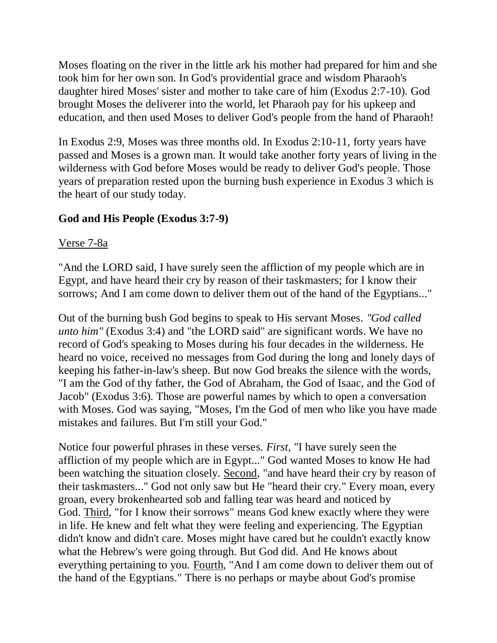Moses floating on the river in the little ark his mother had prepared for him and she took him for her own son. In God's providential grace and wisdom Pharaoh's daughter hired Moses' sister and mother to take care of him (Exodus 2:7-10). God brought Moses the deliverer into the world, let Pharaoh pay for his upkeep and education, and then used Moses to deliver God's people from the hand of Pharaoh!

In Exodus 2:9, Moses was three months old. In Exodus 2:10-11, forty years have passed and Moses is a grown man. It would take another forty years of living in the wilderness with God before Moses would be ready to deliver God's people. Those years of preparation rested upon the burning bush experience in Exodus 3 which is the heart of our study today.

## **God and His People (Exodus 3:7-9)**

### Verse 7-8a

"And the LORD said, I have surely seen the affliction of my people which are in Egypt, and have heard their cry by reason of their taskmasters; for I know their sorrows; And I am come down to deliver them out of the hand of the Egyptians..."

Out of the burning bush God begins to speak to His servant Moses. *"God called unto him"* (Exodus 3:4) and "the LORD said" are significant words. We have no record of God's speaking to Moses during his four decades in the wilderness. He heard no voice, received no messages from God during the long and lonely days of keeping his father-in-law's sheep. But now God breaks the silence with the words, "I am the God of thy father, the God of Abraham, the God of Isaac, and the God of Jacob" (Exodus 3:6). Those are powerful names by which to open a conversation with Moses. God was saying, "Moses, I'm the God of men who like you have made mistakes and failures. But I'm still your God."

Notice four powerful phrases in these verses. *First*, "I have surely seen the affliction of my people which are in Egypt..." God wanted Moses to know He had been watching the situation closely. Second, "and have heard their cry by reason of their taskmasters..." God not only saw but He "heard their cry." Every moan, every groan, every brokenhearted sob and falling tear was heard and noticed by God. Third, "for I know their sorrows" means God knew exactly where they were in life. He knew and felt what they were feeling and experiencing. The Egyptian didn't know and didn't care. Moses might have cared but he couldn't exactly know what the Hebrew's were going through. But God did. And He knows about everything pertaining to you. Fourth, "And I am come down to deliver them out of the hand of the Egyptians." There is no perhaps or maybe about God's promise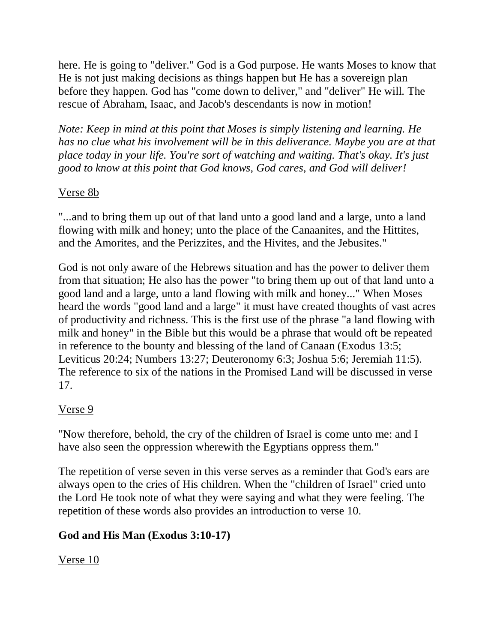here. He is going to "deliver." God is a God purpose. He wants Moses to know that He is not just making decisions as things happen but He has a sovereign plan before they happen. God has "come down to deliver," and "deliver" He will. The rescue of Abraham, Isaac, and Jacob's descendants is now in motion!

*Note: Keep in mind at this point that Moses is simply listening and learning. He has no clue what his involvement will be in this deliverance. Maybe you are at that place today in your life. You're sort of watching and waiting. That's okay. It's just good to know at this point that God knows, God cares, and God will deliver!*

## Verse 8b

"...and to bring them up out of that land unto a good land and a large, unto a land flowing with milk and honey; unto the place of the Canaanites, and the Hittites, and the Amorites, and the Perizzites, and the Hivites, and the Jebusites."

God is not only aware of the Hebrews situation and has the power to deliver them from that situation; He also has the power "to bring them up out of that land unto a good land and a large, unto a land flowing with milk and honey..." When Moses heard the words "good land and a large" it must have created thoughts of vast acres of productivity and richness. This is the first use of the phrase "a land flowing with milk and honey" in the Bible but this would be a phrase that would oft be repeated in reference to the bounty and blessing of the land of Canaan (Exodus 13:5; Leviticus 20:24; Numbers 13:27; Deuteronomy 6:3; Joshua 5:6; Jeremiah 11:5). The reference to six of the nations in the Promised Land will be discussed in verse 17.

## Verse 9

"Now therefore, behold, the cry of the children of Israel is come unto me: and I have also seen the oppression wherewith the Egyptians oppress them."

The repetition of verse seven in this verse serves as a reminder that God's ears are always open to the cries of His children. When the "children of Israel" cried unto the Lord He took note of what they were saying and what they were feeling. The repetition of these words also provides an introduction to verse 10.

# **God and His Man (Exodus 3:10-17)**

Verse 10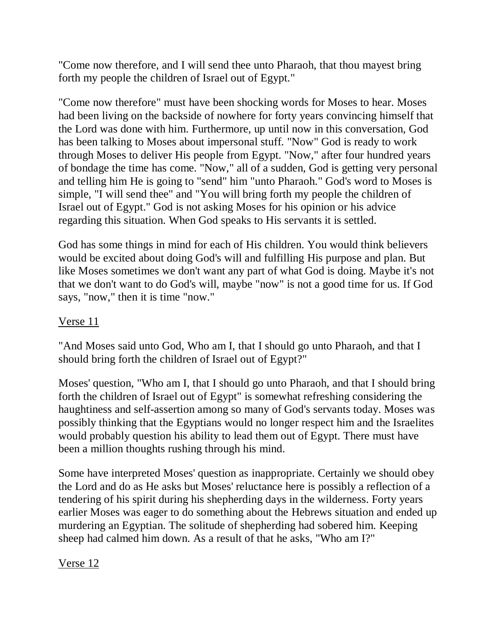"Come now therefore, and I will send thee unto Pharaoh, that thou mayest bring forth my people the children of Israel out of Egypt."

"Come now therefore" must have been shocking words for Moses to hear. Moses had been living on the backside of nowhere for forty years convincing himself that the Lord was done with him. Furthermore, up until now in this conversation, God has been talking to Moses about impersonal stuff. "Now" God is ready to work through Moses to deliver His people from Egypt. "Now," after four hundred years of bondage the time has come. "Now," all of a sudden, God is getting very personal and telling him He is going to "send" him "unto Pharaoh." God's word to Moses is simple, "I will send thee" and "You will bring forth my people the children of Israel out of Egypt." God is not asking Moses for his opinion or his advice regarding this situation. When God speaks to His servants it is settled.

God has some things in mind for each of His children. You would think believers would be excited about doing God's will and fulfilling His purpose and plan. But like Moses sometimes we don't want any part of what God is doing. Maybe it's not that we don't want to do God's will, maybe "now" is not a good time for us. If God says, "now," then it is time "now."

## Verse 11

"And Moses said unto God, Who am I, that I should go unto Pharaoh, and that I should bring forth the children of Israel out of Egypt?"

Moses' question, "Who am I, that I should go unto Pharaoh, and that I should bring forth the children of Israel out of Egypt" is somewhat refreshing considering the haughtiness and self-assertion among so many of God's servants today. Moses was possibly thinking that the Egyptians would no longer respect him and the Israelites would probably question his ability to lead them out of Egypt. There must have been a million thoughts rushing through his mind.

Some have interpreted Moses' question as inappropriate. Certainly we should obey the Lord and do as He asks but Moses' reluctance here is possibly a reflection of a tendering of his spirit during his shepherding days in the wilderness. Forty years earlier Moses was eager to do something about the Hebrews situation and ended up murdering an Egyptian. The solitude of shepherding had sobered him. Keeping sheep had calmed him down. As a result of that he asks, "Who am I?"

Verse 12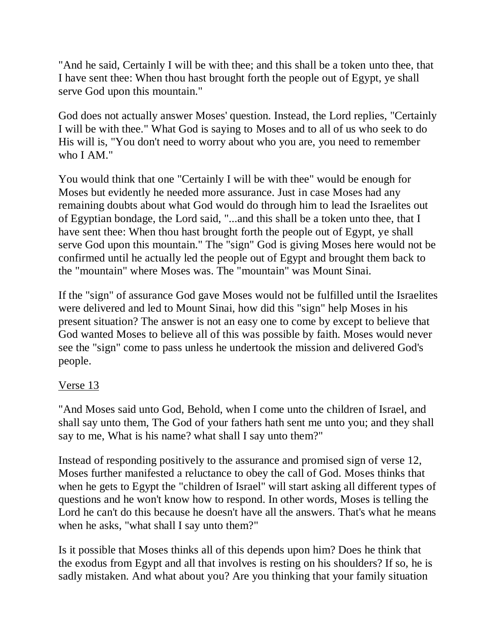"And he said, Certainly I will be with thee; and this shall be a token unto thee, that I have sent thee: When thou hast brought forth the people out of Egypt, ye shall serve God upon this mountain."

God does not actually answer Moses' question. Instead, the Lord replies, "Certainly I will be with thee." What God is saying to Moses and to all of us who seek to do His will is, "You don't need to worry about who you are, you need to remember who I AM."

You would think that one "Certainly I will be with thee" would be enough for Moses but evidently he needed more assurance. Just in case Moses had any remaining doubts about what God would do through him to lead the Israelites out of Egyptian bondage, the Lord said, "...and this shall be a token unto thee, that I have sent thee: When thou hast brought forth the people out of Egypt, ye shall serve God upon this mountain." The "sign" God is giving Moses here would not be confirmed until he actually led the people out of Egypt and brought them back to the "mountain" where Moses was. The "mountain" was Mount Sinai.

If the "sign" of assurance God gave Moses would not be fulfilled until the Israelites were delivered and led to Mount Sinai, how did this "sign" help Moses in his present situation? The answer is not an easy one to come by except to believe that God wanted Moses to believe all of this was possible by faith. Moses would never see the "sign" come to pass unless he undertook the mission and delivered God's people.

## Verse 13

"And Moses said unto God, Behold, when I come unto the children of Israel, and shall say unto them, The God of your fathers hath sent me unto you; and they shall say to me, What is his name? what shall I say unto them?"

Instead of responding positively to the assurance and promised sign of verse 12, Moses further manifested a reluctance to obey the call of God. Moses thinks that when he gets to Egypt the "children of Israel" will start asking all different types of questions and he won't know how to respond. In other words, Moses is telling the Lord he can't do this because he doesn't have all the answers. That's what he means when he asks, "what shall I say unto them?"

Is it possible that Moses thinks all of this depends upon him? Does he think that the exodus from Egypt and all that involves is resting on his shoulders? If so, he is sadly mistaken. And what about you? Are you thinking that your family situation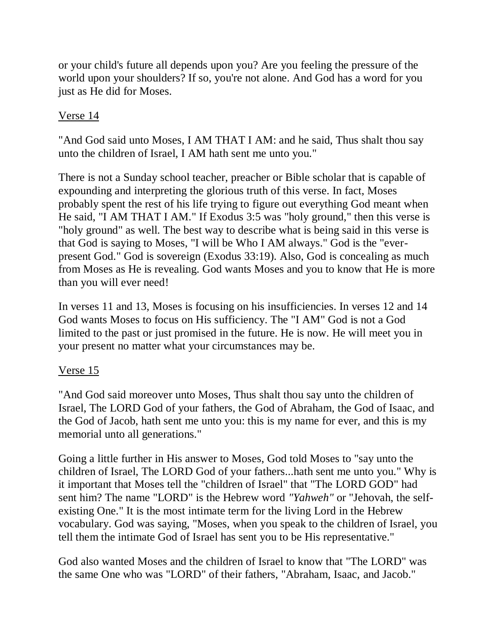or your child's future all depends upon you? Are you feeling the pressure of the world upon your shoulders? If so, you're not alone. And God has a word for you just as He did for Moses.

## Verse 14

"And God said unto Moses, I AM THAT I AM: and he said, Thus shalt thou say unto the children of Israel, I AM hath sent me unto you."

There is not a Sunday school teacher, preacher or Bible scholar that is capable of expounding and interpreting the glorious truth of this verse. In fact, Moses probably spent the rest of his life trying to figure out everything God meant when He said, "I AM THAT I AM." If Exodus 3:5 was "holy ground," then this verse is "holy ground" as well. The best way to describe what is being said in this verse is that God is saying to Moses, "I will be Who I AM always." God is the "everpresent God." God is sovereign (Exodus 33:19). Also, God is concealing as much from Moses as He is revealing. God wants Moses and you to know that He is more than you will ever need!

In verses 11 and 13, Moses is focusing on his insufficiencies. In verses 12 and 14 God wants Moses to focus on His sufficiency. The "I AM" God is not a God limited to the past or just promised in the future. He is now. He will meet you in your present no matter what your circumstances may be.

## Verse 15

"And God said moreover unto Moses, Thus shalt thou say unto the children of Israel, The LORD God of your fathers, the God of Abraham, the God of Isaac, and the God of Jacob, hath sent me unto you: this is my name for ever, and this is my memorial unto all generations."

Going a little further in His answer to Moses, God told Moses to "say unto the children of Israel, The LORD God of your fathers...hath sent me unto you." Why is it important that Moses tell the "children of Israel" that "The LORD GOD" had sent him? The name "LORD" is the Hebrew word *"Yahweh"* or "Jehovah, the selfexisting One." It is the most intimate term for the living Lord in the Hebrew vocabulary. God was saying, "Moses, when you speak to the children of Israel, you tell them the intimate God of Israel has sent you to be His representative."

God also wanted Moses and the children of Israel to know that "The LORD" was the same One who was "LORD" of their fathers, "Abraham, Isaac, and Jacob."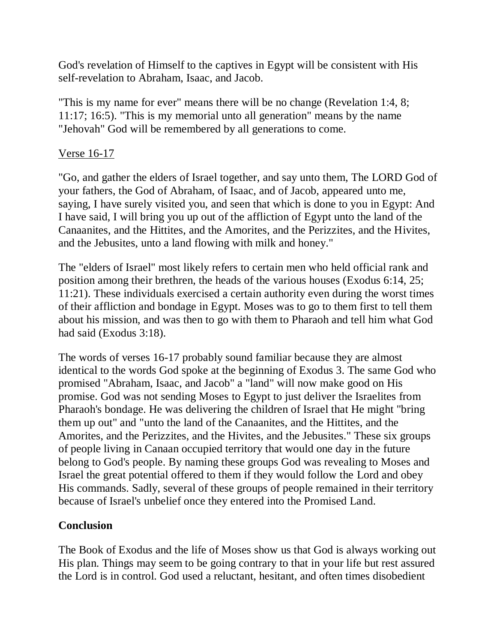God's revelation of Himself to the captives in Egypt will be consistent with His self-revelation to Abraham, Isaac, and Jacob.

"This is my name for ever" means there will be no change (Revelation 1:4, 8; 11:17; 16:5). "This is my memorial unto all generation" means by the name "Jehovah" God will be remembered by all generations to come.

## Verse 16-17

"Go, and gather the elders of Israel together, and say unto them, The LORD God of your fathers, the God of Abraham, of Isaac, and of Jacob, appeared unto me, saying, I have surely visited you, and seen that which is done to you in Egypt: And I have said, I will bring you up out of the affliction of Egypt unto the land of the Canaanites, and the Hittites, and the Amorites, and the Perizzites, and the Hivites, and the Jebusites, unto a land flowing with milk and honey."

The "elders of Israel" most likely refers to certain men who held official rank and position among their brethren, the heads of the various houses (Exodus 6:14, 25; 11:21). These individuals exercised a certain authority even during the worst times of their affliction and bondage in Egypt. Moses was to go to them first to tell them about his mission, and was then to go with them to Pharaoh and tell him what God had said (Exodus 3:18).

The words of verses 16-17 probably sound familiar because they are almost identical to the words God spoke at the beginning of Exodus 3. The same God who promised "Abraham, Isaac, and Jacob" a "land" will now make good on His promise. God was not sending Moses to Egypt to just deliver the Israelites from Pharaoh's bondage. He was delivering the children of Israel that He might "bring them up out" and "unto the land of the Canaanites, and the Hittites, and the Amorites, and the Perizzites, and the Hivites, and the Jebusites." These six groups of people living in Canaan occupied territory that would one day in the future belong to God's people. By naming these groups God was revealing to Moses and Israel the great potential offered to them if they would follow the Lord and obey His commands. Sadly, several of these groups of people remained in their territory because of Israel's unbelief once they entered into the Promised Land.

### **Conclusion**

The Book of Exodus and the life of Moses show us that God is always working out His plan. Things may seem to be going contrary to that in your life but rest assured the Lord is in control. God used a reluctant, hesitant, and often times disobedient